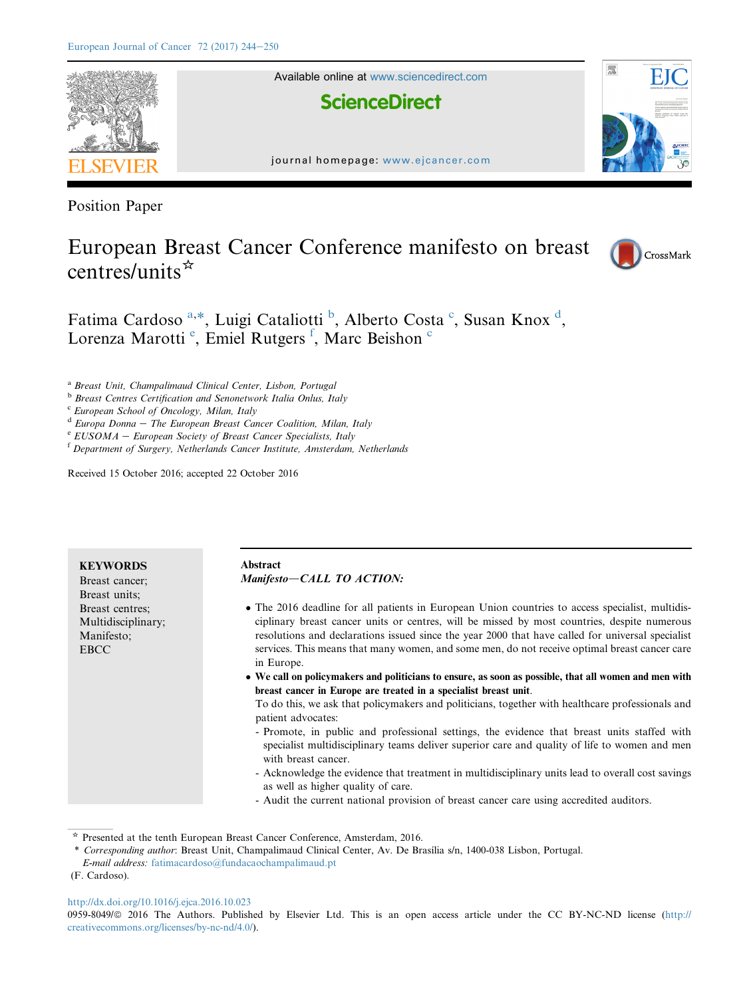

Available online at [www.sciencedirect.com](www.sciencedirect.com/science/journal/09598049)

**ScienceDirect** 



Position Paper

# European Breast Cancer Conference manifesto on breast centres/units $*$



霐

Fatima Cardoso<sup>a,\*</sup>, Luigi Cataliotti<sup>b</sup>, Alberto Costa<sup>c</sup>, Susan Knox<sup>d</sup>, Lorenza Marotti<sup>e</sup>, Emiel Rutgers<sup>f</sup>, Marc Beishon<sup>e</sup>

<sup>a</sup> Breast Unit, Champalimaud Clinical Center, Lisbon, Portugal

<sup>b</sup> Breast Centres Certification and Senonetwork Italia Onlus, Italy

<sup>c</sup> European School of Oncology, Milan, Italy

 $d$  Europa Donna - The European Breast Cancer Coalition, Milan, Italy

 $e$  EUSOMA - European Society of Breast Cancer Specialists, Italy

<sup>f</sup> Department of Surgery, Netherlands Cancer Institute, Amsterdam, Netherlands

Received 15 October 2016; accepted 22 October 2016

| Abstract<br><b>KEYWORDS</b><br>Manifesto-CALL TO ACTION:<br>Breast cancer:<br>Breast units;<br>• The 2016 deadline for all patients in European Union countries to access specialist, multidis-<br>Breast centres:<br>ciplinary breast cancer units or centres, will be missed by most countries, despite numerous<br>Multidisciplinary;<br>resolutions and declarations issued since the year 2000 that have called for universal specialist<br>Manifesto;<br>services. This means that many women, and some men, do not receive optimal breast cancer care<br><b>EBCC</b><br>in Europe.<br>• We call on policymakers and politicians to ensure, as soon as possible, that all women and men with<br>breast cancer in Europe are treated in a specialist breast unit.<br>To do this, we ask that policymakers and politicians, together with healthcare professionals and<br>patient advocates:<br>- Promote, in public and professional settings, the evidence that breast units staffed with<br>specialist multidisciplinary teams deliver superior care and quality of life to women and men<br>with breast cancer.<br>- Acknowledge the evidence that treatment in multidisciplinary units lead to overall cost savings |                                    |
|------------------------------------------------------------------------------------------------------------------------------------------------------------------------------------------------------------------------------------------------------------------------------------------------------------------------------------------------------------------------------------------------------------------------------------------------------------------------------------------------------------------------------------------------------------------------------------------------------------------------------------------------------------------------------------------------------------------------------------------------------------------------------------------------------------------------------------------------------------------------------------------------------------------------------------------------------------------------------------------------------------------------------------------------------------------------------------------------------------------------------------------------------------------------------------------------------------------------------|------------------------------------|
|                                                                                                                                                                                                                                                                                                                                                                                                                                                                                                                                                                                                                                                                                                                                                                                                                                                                                                                                                                                                                                                                                                                                                                                                                              |                                    |
| - Audit the current national provision of breast cancer care using accredited auditors.                                                                                                                                                                                                                                                                                                                                                                                                                                                                                                                                                                                                                                                                                                                                                                                                                                                                                                                                                                                                                                                                                                                                      | as well as higher quality of care. |

 $*$  Presented at the tenth European Breast Cancer Conference, Amsterdam, 2016.

<http://dx.doi.org/10.1016/j.ejca.2016.10.023>

0959-8049/@ 2016 The Authors. Published by Elsevier Ltd. This is an open access article under the CC BY-NC-ND license [\(http://](http://creativecommons.org/licenses/by-nc-nd/4.0/) [creativecommons.org/licenses/by-nc-nd/4.0/\)](http://creativecommons.org/licenses/by-nc-nd/4.0/).

<sup>\*</sup> Corresponding author: Breast Unit, Champalimaud Clinical Center, Av. De Brasília s/n, 1400-038 Lisbon, Portugal. E-mail address: [fatimacardoso@fundacaochampalimaud.pt](mailto:fatimacardoso@fundacaochampalimaud.pt)

<sup>(</sup>F. Cardoso).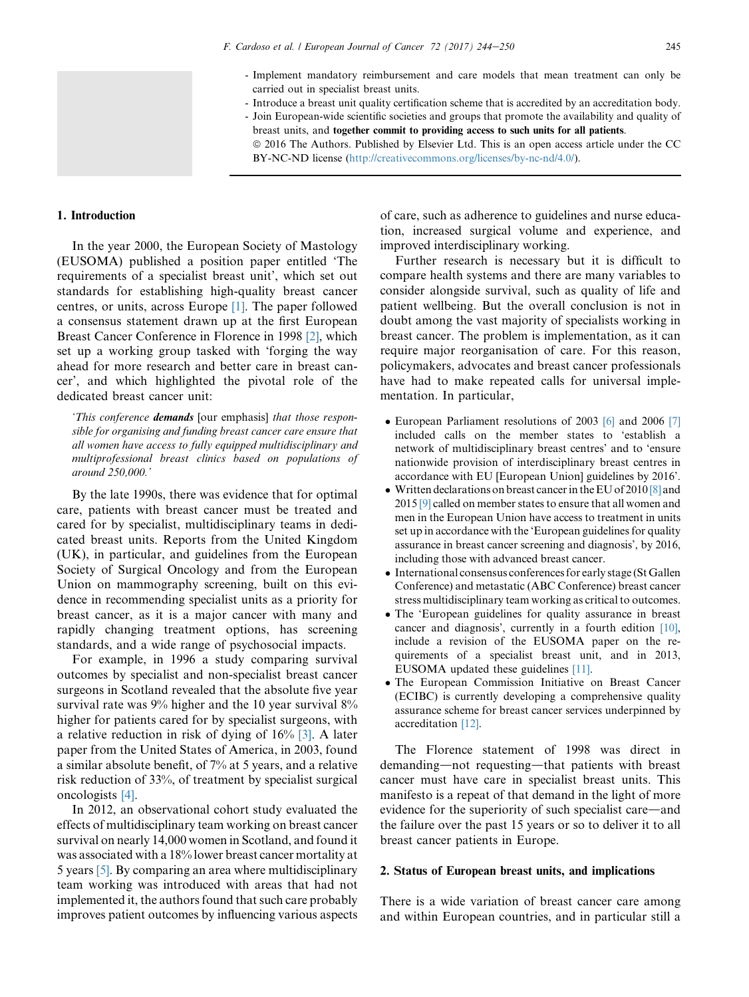- Implement mandatory reimbursement and care models that mean treatment can only be carried out in specialist breast units.
- Introduce a breast unit quality certification scheme that is accredited by an accreditation body.
- Join European-wide scientific societies and groups that promote the availability and quality of breast units, and together commit to providing access to such units for all patients.
	- ª 2016 The Authors. Published by Elsevier Ltd. This is an open access article under the CC BY-NC-ND license ([http://creativecommons.org/licenses/by-nc-nd/4.0/\)](http://creativecommons.org/licenses/by-nc-nd/4.0/).

#### <span id="page-1-0"></span>1. Introduction

In the year 2000, the European Society of Mastology (EUSOMA) published a position paper entitled 'The requirements of a specialist breast unit', which set out standards for establishing high-quality breast cancer centres, or units, across Europe [\[1\].](#page-6-0) The paper followed a consensus statement drawn up at the first European Breast Cancer Conference in Florence in 1998 [\[2\],](#page-6-0) which set up a working group tasked with 'forging the way ahead for more research and better care in breast cancer', and which highlighted the pivotal role of the dedicated breast cancer unit:

'This conference demands [our emphasis] that those responsible for organising and funding breast cancer care ensure that all women have access to fully equipped multidisciplinary and multiprofessional breast clinics based on populations of around 250,000.'

By the late 1990s, there was evidence that for optimal care, patients with breast cancer must be treated and cared for by specialist, multidisciplinary teams in dedicated breast units. Reports from the United Kingdom (UK), in particular, and guidelines from the European Society of Surgical Oncology and from the European Union on mammography screening, built on this evidence in recommending specialist units as a priority for breast cancer, as it is a major cancer with many and rapidly changing treatment options, has screening standards, and a wide range of psychosocial impacts.

For example, in 1996 a study comparing survival outcomes by specialist and non-specialist breast cancer surgeons in Scotland revealed that the absolute five year survival rate was 9% higher and the 10 year survival 8% higher for patients cared for by specialist surgeons, with a relative reduction in risk of dying of 16% [\[3\].](#page-6-0) A later paper from the United States of America, in 2003, found a similar absolute benefit, of 7% at 5 years, and a relative risk reduction of 33%, of treatment by specialist surgical oncologists [\[4\].](#page-6-0)

In 2012, an observational cohort study evaluated the effects of multidisciplinary team working on breast cancer survival on nearly 14,000 women in Scotland, and found it was associated with a 18% lower breast cancer mortality at 5 years [\[5\].](#page-6-0) By comparing an area where multidisciplinary team working was introduced with areas that had not implemented it, the authors found that such care probably improves patient outcomes by influencing various aspects of care, such as adherence to guidelines and nurse education, increased surgical volume and experience, and improved interdisciplinary working.

Further research is necessary but it is difficult to compare health systems and there are many variables to consider alongside survival, such as quality of life and patient wellbeing. But the overall conclusion is not in doubt among the vast majority of specialists working in breast cancer. The problem is implementation, as it can require major reorganisation of care. For this reason, policymakers, advocates and breast cancer professionals have had to make repeated calls for universal implementation. In particular,

- European Parliament resolutions of 2003 [\[6\]](#page-6-0) and 2006 [\[7\]](#page-6-0) included calls on the member states to 'establish a network of multidisciplinary breast centres' and to 'ensure nationwide provision of interdisciplinary breast centres in accordance with EU [European Union] guidelines by 2016'.
- Written declarations on breast cancer in the EU of 2010 [\[8\]](#page-6-0) and 2015 [\[9\]](#page-6-0) called on member states to ensure that all women and men in the European Union have access to treatment in units set up in accordance with the 'European guidelines for quality assurance in breast cancer screening and diagnosis', by 2016, including those with advanced breast cancer.
- International consensus conferences for early stage (St Gallen Conference) and metastatic (ABC Conference) breast cancer stress multidisciplinary team working as critical to outcomes.
- The 'European guidelines for quality assurance in breast cancer and diagnosis', currently in a fourth edition [\[10\]](#page-6-0), include a revision of the EUSOMA paper on the requirements of a specialist breast unit, and in 2013, EUSOMA updated these guidelines [\[11\]](#page-6-0).
- The European Commission Initiative on Breast Cancer (ECIBC) is currently developing a comprehensive quality assurance scheme for breast cancer services underpinned by accreditation [\[12\].](#page-6-0)

The Florence statement of 1998 was direct in demanding—not requesting—that patients with breast cancer must have care in specialist breast units. This manifesto is a repeat of that demand in the light of more evidence for the superiority of such specialist care—and the failure over the past 15 years or so to deliver it to all breast cancer patients in Europe.

## 2. Status of European breast units, and implications

There is a wide variation of breast cancer care among and within European countries, and in particular still a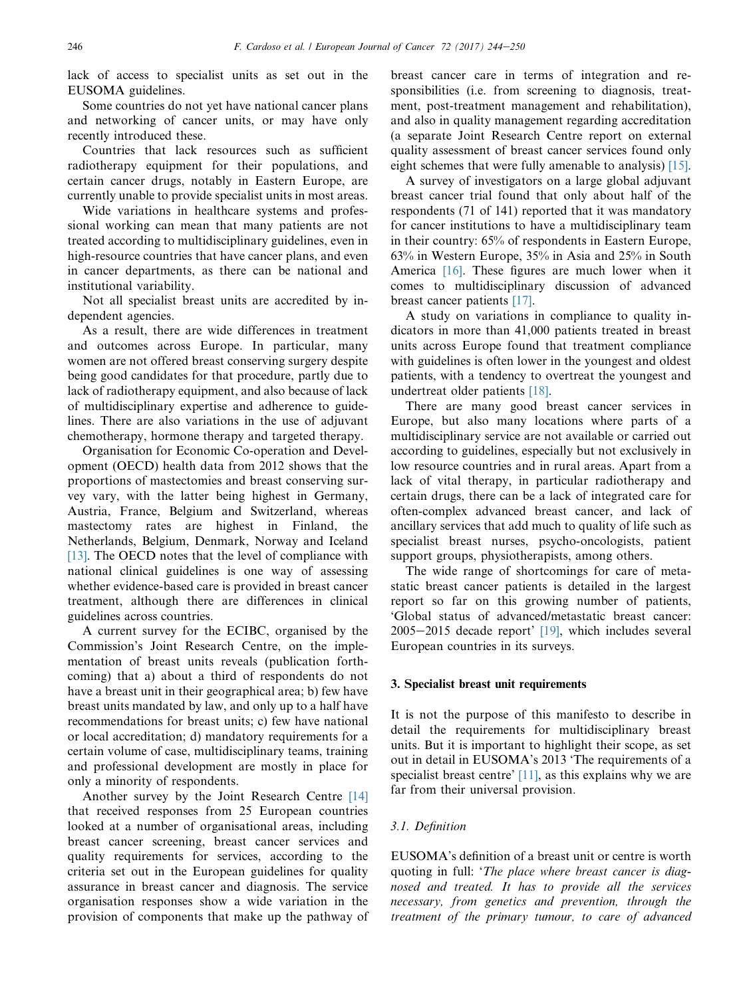lack of access to specialist units as set out in the EUSOMA guidelines.

Some countries do not yet have national cancer plans and networking of cancer units, or may have only recently introduced these.

Countries that lack resources such as sufficient radiotherapy equipment for their populations, and certain cancer drugs, notably in Eastern Europe, are currently unable to provide specialist units in most areas.

Wide variations in healthcare systems and professional working can mean that many patients are not treated according to multidisciplinary guidelines, even in high-resource countries that have cancer plans, and even in cancer departments, as there can be national and institutional variability.

Not all specialist breast units are accredited by independent agencies.

As a result, there are wide differences in treatment and outcomes across Europe. In particular, many women are not offered breast conserving surgery despite being good candidates for that procedure, partly due to lack of radiotherapy equipment, and also because of lack of multidisciplinary expertise and adherence to guidelines. There are also variations in the use of adjuvant chemotherapy, hormone therapy and targeted therapy.

Organisation for Economic Co-operation and Development (OECD) health data from 2012 shows that the proportions of mastectomies and breast conserving survey vary, with the latter being highest in Germany, Austria, France, Belgium and Switzerland, whereas mastectomy rates are highest in Finland, the Netherlands, Belgium, Denmark, Norway and Iceland [\[13\]](#page-6-0). The OECD notes that the level of compliance with national clinical guidelines is one way of assessing whether evidence-based care is provided in breast cancer treatment, although there are differences in clinical guidelines across countries.

A current survey for the ECIBC, organised by the Commission's Joint Research Centre, on the implementation of breast units reveals (publication forthcoming) that a) about a third of respondents do not have a breast unit in their geographical area; b) few have breast units mandated by law, and only up to a half have recommendations for breast units; c) few have national or local accreditation; d) mandatory requirements for a certain volume of case, multidisciplinary teams, training and professional development are mostly in place for only a minority of respondents.

Another survey by the Joint Research Centre [\[14\]](#page-6-0) that received responses from 25 European countries looked at a number of organisational areas, including breast cancer screening, breast cancer services and quality requirements for services, according to the criteria set out in the European guidelines for quality assurance in breast cancer and diagnosis. The service organisation responses show a wide variation in the provision of components that make up the pathway of breast cancer care in terms of integration and responsibilities (i.e. from screening to diagnosis, treatment, post-treatment management and rehabilitation), and also in quality management regarding accreditation (a separate Joint Research Centre report on external quality assessment of breast cancer services found only eight schemes that were fully amenable to analysis) [\[15\]](#page-6-0).

A survey of investigators on a large global adjuvant breast cancer trial found that only about half of the respondents (71 of 141) reported that it was mandatory for cancer institutions to have a multidisciplinary team in their country: 65% of respondents in Eastern Europe, 63% in Western Europe, 35% in Asia and 25% in South America [\[16\].](#page-6-0) These figures are much lower when it comes to multidisciplinary discussion of advanced breast cancer patients [\[17\]](#page-6-0).

A study on variations in compliance to quality indicators in more than 41,000 patients treated in breast units across Europe found that treatment compliance with guidelines is often lower in the youngest and oldest patients, with a tendency to overtreat the youngest and undertreat older patients [\[18\]](#page-6-0).

There are many good breast cancer services in Europe, but also many locations where parts of a multidisciplinary service are not available or carried out according to guidelines, especially but not exclusively in low resource countries and in rural areas. Apart from a lack of vital therapy, in particular radiotherapy and certain drugs, there can be a lack of integrated care for often-complex advanced breast cancer, and lack of ancillary services that add much to quality of life such as specialist breast nurses, psycho-oncologists, patient support groups, physiotherapists, among others.

The wide range of shortcomings for care of metastatic breast cancer patients is detailed in the largest report so far on this growing number of patients, 'Global status of advanced/metastatic breast cancer:  $2005-2015$  decade report'  $[19]$ , which includes several European countries in its surveys.

#### 3. Specialist breast unit requirements

It is not the purpose of this manifesto to describe in detail the requirements for multidisciplinary breast units. But it is important to highlight their scope, as set out in detail in EUSOMA's 2013 'The requirements of a specialist breast centre' [\[11\],](#page-6-0) as this explains why we are far from their universal provision.

# 3.1. Definition

EUSOMA's definition of a breast unit or centre is worth quoting in full: 'The place where breast cancer is diagnosed and treated. It has to provide all the services necessary, from genetics and prevention, through the treatment of the primary tumour, to care of advanced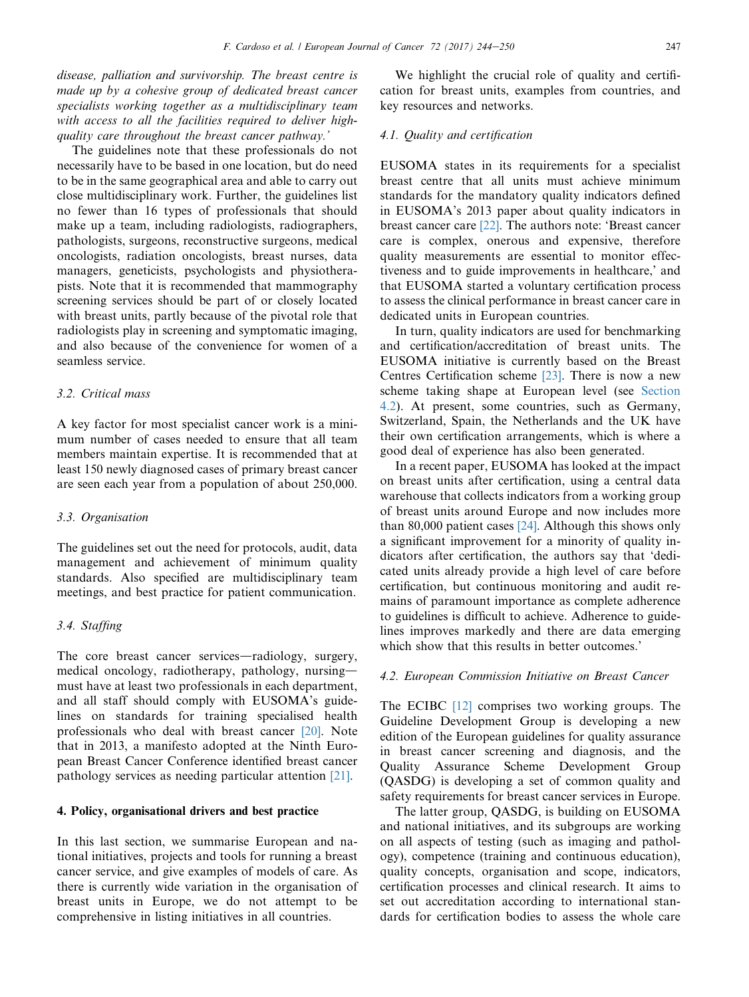disease, palliation and survivorship. The breast centre is made up by a cohesive group of dedicated breast cancer specialists working together as a multidisciplinary team with access to all the facilities required to deliver highquality care throughout the breast cancer pathway.'

The guidelines note that these professionals do not necessarily have to be based in one location, but do need to be in the same geographical area and able to carry out close multidisciplinary work. Further, the guidelines list no fewer than 16 types of professionals that should make up a team, including radiologists, radiographers, pathologists, surgeons, reconstructive surgeons, medical oncologists, radiation oncologists, breast nurses, data managers, geneticists, psychologists and physiotherapists. Note that it is recommended that mammography screening services should be part of or closely located with breast units, partly because of the pivotal role that radiologists play in screening and symptomatic imaging, and also because of the convenience for women of a seamless service.

# 3.2. Critical mass

A key factor for most specialist cancer work is a minimum number of cases needed to ensure that all team members maintain expertise. It is recommended that at least 150 newly diagnosed cases of primary breast cancer are seen each year from a population of about 250,000.

#### 3.3. Organisation

The guidelines set out the need for protocols, audit, data management and achievement of minimum quality standards. Also specified are multidisciplinary team meetings, and best practice for patient communication.

# 3.4. Staffing

The core breast cancer services—radiology, surgery, medical oncology, radiotherapy, pathology, nursingmust have at least two professionals in each department, and all staff should comply with EUSOMA's guidelines on standards for training specialised health professionals who deal with breast cancer [\[20\]](#page-6-0). Note that in 2013, a manifesto adopted at the Ninth European Breast Cancer Conference identified breast cancer pathology services as needing particular attention [\[21\]](#page-6-0).

## 4. Policy, organisational drivers and best practice

In this last section, we summarise European and national initiatives, projects and tools for running a breast cancer service, and give examples of models of care. As there is currently wide variation in the organisation of breast units in Europe, we do not attempt to be comprehensive in listing initiatives in all countries.

We highlight the crucial role of quality and certification for breast units, examples from countries, and key resources and networks.

#### 4.1. Quality and certification

EUSOMA states in its requirements for a specialist breast centre that all units must achieve minimum standards for the mandatory quality indicators defined in EUSOMA's 2013 paper about quality indicators in breast cancer care [\[22\]](#page-6-0). The authors note: 'Breast cancer care is complex, onerous and expensive, therefore quality measurements are essential to monitor effectiveness and to guide improvements in healthcare,' and that EUSOMA started a voluntary certification process to assess the clinical performance in breast cancer care in dedicated units in European countries.

In turn, quality indicators are used for benchmarking and certification/accreditation of breast units. The EUSOMA initiative is currently based on the Breast Centres Certification scheme [\[23\].](#page-6-0) There is now a new scheme taking shape at European level (see Section 4.2). At present, some countries, such as Germany, Switzerland, Spain, the Netherlands and the UK have their own certification arrangements, which is where a good deal of experience has also been generated.

In a recent paper, EUSOMA has looked at the impact on breast units after certification, using a central data warehouse that collects indicators from a working group of breast units around Europe and now includes more than 80,000 patient cases [\[24\]](#page-6-0). Although this shows only a significant improvement for a minority of quality indicators after certification, the authors say that 'dedicated units already provide a high level of care before certification, but continuous monitoring and audit remains of paramount importance as complete adherence to guidelines is difficult to achieve. Adherence to guidelines improves markedly and there are data emerging which show that this results in better outcomes.'

#### 4.2. European Commission Initiative on Breast Cancer

The ECIBC [\[12\]](#page-6-0) comprises two working groups. The Guideline Development Group is developing a new edition of the European guidelines for quality assurance in breast cancer screening and diagnosis, and the Quality Assurance Scheme Development Group (QASDG) is developing a set of common quality and safety requirements for breast cancer services in Europe.

The latter group, QASDG, is building on EUSOMA and national initiatives, and its subgroups are working on all aspects of testing (such as imaging and pathology), competence (training and continuous education), quality concepts, organisation and scope, indicators, certification processes and clinical research. It aims to set out accreditation according to international standards for certification bodies to assess the whole care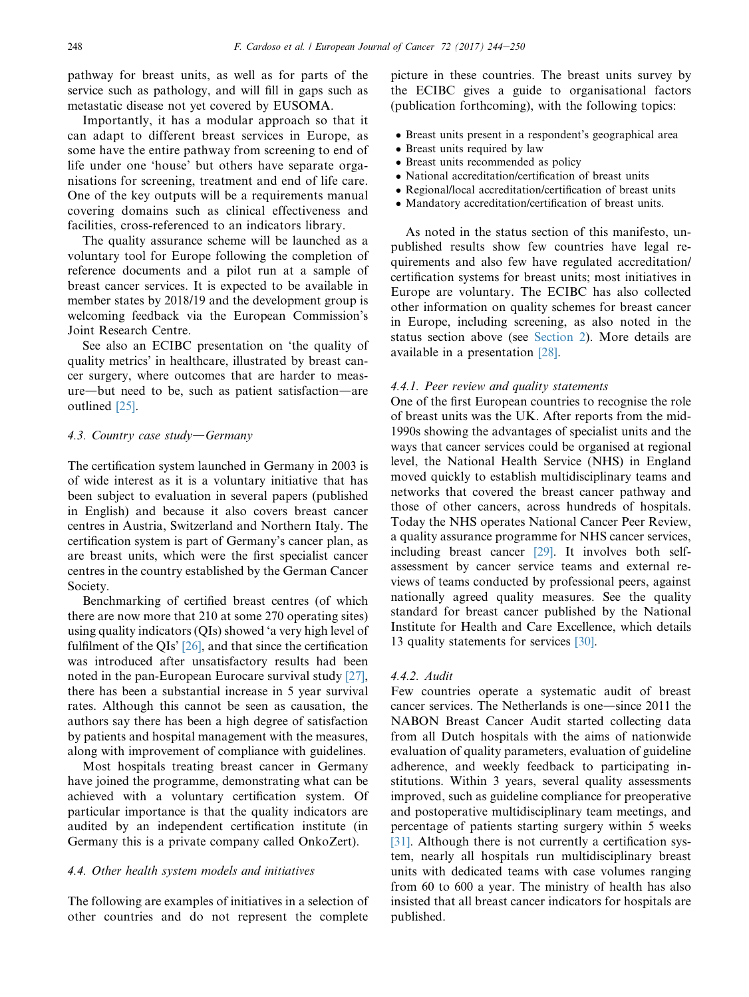pathway for breast units, as well as for parts of the service such as pathology, and will fill in gaps such as metastatic disease not yet covered by EUSOMA.

Importantly, it has a modular approach so that it can adapt to different breast services in Europe, as some have the entire pathway from screening to end of life under one 'house' but others have separate organisations for screening, treatment and end of life care. One of the key outputs will be a requirements manual covering domains such as clinical effectiveness and facilities, cross-referenced to an indicators library.

The quality assurance scheme will be launched as a voluntary tool for Europe following the completion of reference documents and a pilot run at a sample of breast cancer services. It is expected to be available in member states by 2018/19 and the development group is welcoming feedback via the European Commission's Joint Research Centre.

See also an ECIBC presentation on 'the quality of quality metrics' in healthcare, illustrated by breast cancer surgery, where outcomes that are harder to meas $ure$ —but need to be, such as patient satisfaction—are outlined [\[25\].](#page-6-0)

#### 4.3. Country case study-Germany

The certification system launched in Germany in 2003 is of wide interest as it is a voluntary initiative that has been subject to evaluation in several papers (published in English) and because it also covers breast cancer centres in Austria, Switzerland and Northern Italy. The certification system is part of Germany's cancer plan, as are breast units, which were the first specialist cancer centres in the country established by the German Cancer Society.

Benchmarking of certified breast centres (of which there are now more that 210 at some 270 operating sites) using quality indicators (QIs) showed 'a very high level of fulfilment of the QIs' [\[26\]](#page-6-0), and that since the certification was introduced after unsatisfactory results had been noted in the pan-European Eurocare survival study [\[27\]](#page-6-0), there has been a substantial increase in 5 year survival rates. Although this cannot be seen as causation, the authors say there has been a high degree of satisfaction by patients and hospital management with the measures, along with improvement of compliance with guidelines.

Most hospitals treating breast cancer in Germany have joined the programme, demonstrating what can be achieved with a voluntary certification system. Of particular importance is that the quality indicators are audited by an independent certification institute (in Germany this is a private company called OnkoZert).

## 4.4. Other health system models and initiatives

The following are examples of initiatives in a selection of other countries and do not represent the complete picture in these countries. The breast units survey by the ECIBC gives a guide to organisational factors (publication forthcoming), with the following topics:

- Breast units present in a respondent's geographical area
- Breast units required by law
- Breast units recommended as policy
- National accreditation/certification of breast units
- Regional/local accreditation/certification of breast units
- Mandatory accreditation/certification of breast units.

As noted in the status section of this manifesto, unpublished results show few countries have legal requirements and also few have regulated accreditation/ certification systems for breast units; most initiatives in Europe are voluntary. The ECIBC has also collected other information on quality schemes for breast cancer in Europe, including screening, as also noted in the status section above (see [Section 2\)](#page-1-0). More details are available in a presentation [\[28\]](#page-6-0).

## 4.4.1. Peer review and quality statements

One of the first European countries to recognise the role of breast units was the UK. After reports from the mid-1990s showing the advantages of specialist units and the ways that cancer services could be organised at regional level, the National Health Service (NHS) in England moved quickly to establish multidisciplinary teams and networks that covered the breast cancer pathway and those of other cancers, across hundreds of hospitals. Today the NHS operates National Cancer Peer Review, a quality assurance programme for NHS cancer services, including breast cancer [\[29\].](#page-6-0) It involves both selfassessment by cancer service teams and external reviews of teams conducted by professional peers, against nationally agreed quality measures. See the quality standard for breast cancer published by the National Institute for Health and Care Excellence, which details 13 quality statements for services [\[30\].](#page-6-0)

### 4.4.2. Audit

Few countries operate a systematic audit of breast cancer services. The Netherlands is one—since 2011 the NABON Breast Cancer Audit started collecting data from all Dutch hospitals with the aims of nationwide evaluation of quality parameters, evaluation of guideline adherence, and weekly feedback to participating institutions. Within 3 years, several quality assessments improved, such as guideline compliance for preoperative and postoperative multidisciplinary team meetings, and percentage of patients starting surgery within 5 weeks [\[31\]](#page-6-0). Although there is not currently a certification system, nearly all hospitals run multidisciplinary breast units with dedicated teams with case volumes ranging from 60 to 600 a year. The ministry of health has also insisted that all breast cancer indicators for hospitals are published.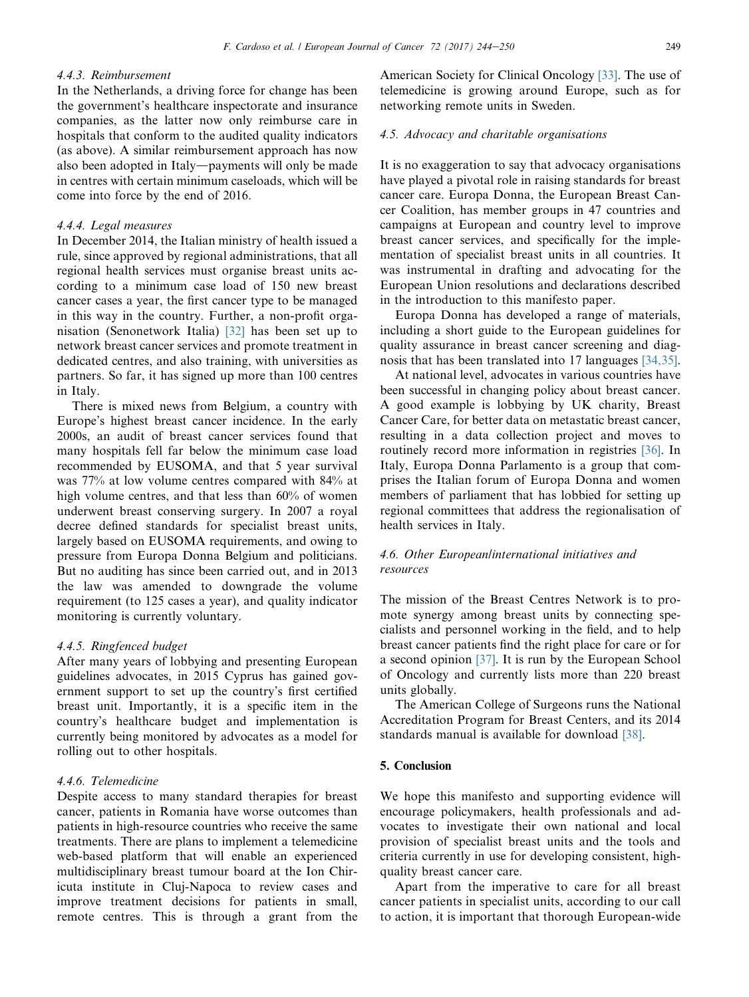## 4.4.3. Reimbursement

In the Netherlands, a driving force for change has been the government's healthcare inspectorate and insurance companies, as the latter now only reimburse care in hospitals that conform to the audited quality indicators (as above). A similar reimbursement approach has now also been adopted in Italy—payments will only be made in centres with certain minimum caseloads, which will be come into force by the end of 2016.

## 4.4.4. Legal measures

In December 2014, the Italian ministry of health issued a rule, since approved by regional administrations, that all regional health services must organise breast units according to a minimum case load of 150 new breast cancer cases a year, the first cancer type to be managed in this way in the country. Further, a non-profit organisation (Senonetwork Italia) [\[32\]](#page-6-0) has been set up to network breast cancer services and promote treatment in dedicated centres, and also training, with universities as partners. So far, it has signed up more than 100 centres in Italy.

There is mixed news from Belgium, a country with Europe's highest breast cancer incidence. In the early 2000s, an audit of breast cancer services found that many hospitals fell far below the minimum case load recommended by EUSOMA, and that 5 year survival was 77% at low volume centres compared with 84% at high volume centres, and that less than 60% of women underwent breast conserving surgery. In 2007 a royal decree defined standards for specialist breast units, largely based on EUSOMA requirements, and owing to pressure from Europa Donna Belgium and politicians. But no auditing has since been carried out, and in 2013 the law was amended to downgrade the volume requirement (to 125 cases a year), and quality indicator monitoring is currently voluntary.

#### 4.4.5. Ringfenced budget

After many years of lobbying and presenting European guidelines advocates, in 2015 Cyprus has gained government support to set up the country's first certified breast unit. Importantly, it is a specific item in the country's healthcare budget and implementation is currently being monitored by advocates as a model for rolling out to other hospitals.

# 4.4.6. Telemedicine

Despite access to many standard therapies for breast cancer, patients in Romania have worse outcomes than patients in high-resource countries who receive the same treatments. There are plans to implement a telemedicine web-based platform that will enable an experienced multidisciplinary breast tumour board at the Ion Chiricuta institute in Cluj-Napoca to review cases and improve treatment decisions for patients in small, remote centres. This is through a grant from the American Society for Clinical Oncology [\[33\]](#page-6-0). The use of telemedicine is growing around Europe, such as for networking remote units in Sweden.

# 4.5. Advocacy and charitable organisations

It is no exaggeration to say that advocacy organisations have played a pivotal role in raising standards for breast cancer care. Europa Donna, the European Breast Cancer Coalition, has member groups in 47 countries and campaigns at European and country level to improve breast cancer services, and specifically for the implementation of specialist breast units in all countries. It was instrumental in drafting and advocating for the European Union resolutions and declarations described in the introduction to this manifesto paper.

Europa Donna has developed a range of materials, including a short guide to the European guidelines for quality assurance in breast cancer screening and diagnosis that has been translated into 17 languages [\[34,35\].](#page-6-0)

At national level, advocates in various countries have been successful in changing policy about breast cancer. A good example is lobbying by UK charity, Breast Cancer Care, for better data on metastatic breast cancer, resulting in a data collection project and moves to routinely record more information in registries [\[36\].](#page-6-0) In Italy, Europa Donna Parlamento is a group that comprises the Italian forum of Europa Donna and women members of parliament that has lobbied for setting up regional committees that address the regionalisation of health services in Italy.

# 4.6. Other European/international initiatives and resources

The mission of the Breast Centres Network is to promote synergy among breast units by connecting specialists and personnel working in the field, and to help breast cancer patients find the right place for care or for a second opinion [\[37\]](#page-6-0). It is run by the European School of Oncology and currently lists more than 220 breast units globally.

The American College of Surgeons runs the National Accreditation Program for Breast Centers, and its 2014 standards manual is available for download [\[38\].](#page-6-0)

## 5. Conclusion

We hope this manifesto and supporting evidence will encourage policymakers, health professionals and advocates to investigate their own national and local provision of specialist breast units and the tools and criteria currently in use for developing consistent, highquality breast cancer care.

Apart from the imperative to care for all breast cancer patients in specialist units, according to our call to action, it is important that thorough European-wide